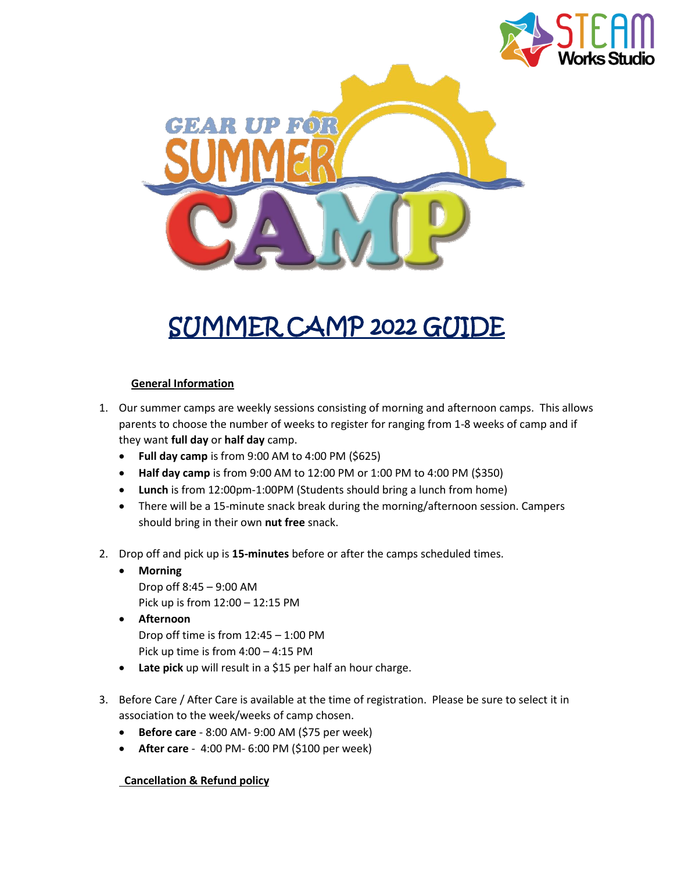



# SUMMER CAMP 2022 GUIDE

### **General Information**

- 1. Our summer camps are weekly sessions consisting of morning and afternoon camps. This allows parents to choose the number of weeks to register for ranging from 1-8 weeks of camp and if they want **full day** or **half day** camp.
	- **Full day camp** is from 9:00 AM to 4:00 PM (\$625)
	- **Half day camp** is from 9:00 AM to 12:00 PM or 1:00 PM to 4:00 PM (\$350)
	- **Lunch** is from 12:00pm-1:00PM (Students should bring a lunch from home)
	- There will be a 15-minute snack break during the morning/afternoon session. Campers should bring in their own **nut free** snack.
- 2. Drop off and pick up is **15-minutes** before or after the camps scheduled times.
	- **Morning** Drop off 8:45 – 9:00 AM Pick up is from 12:00 – 12:15 PM
	- **Afternoon** Drop off time is from 12:45 – 1:00 PM Pick up time is from 4:00 – 4:15 PM
	- **Late pick** up will result in a \$15 per half an hour charge.
- 3. Before Care / After Care is available at the time of registration. Please be sure to select it in association to the week/weeks of camp chosen.
	- **Before care** 8:00 AM- 9:00 AM (\$75 per week)
	- **After care** 4:00 PM- 6:00 PM (\$100 per week)

## **Cancellation & Refund policy**